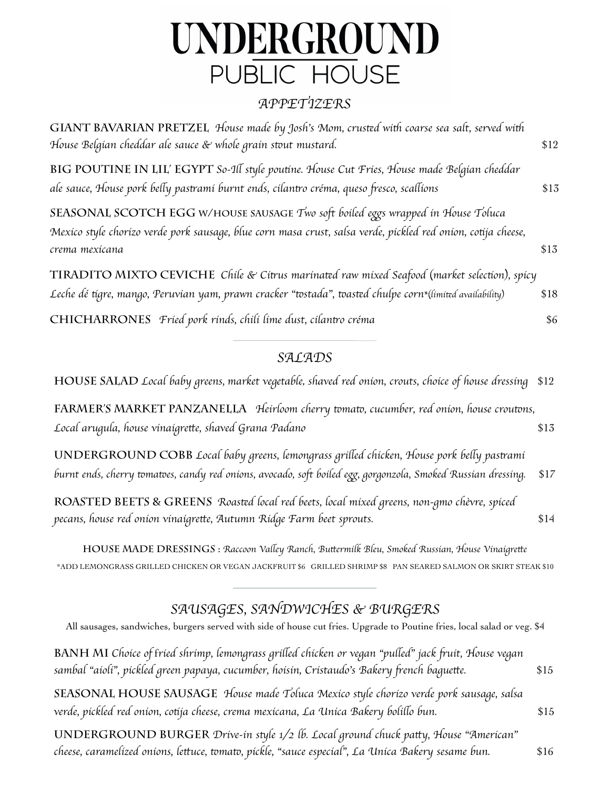# PUBLIC HOUSE UNDERGROUND

#### *APPETIZERS*

| GIANT BAVARIAN PRETZEL House made by Josh's Mom, crusted with coarse sea salt, served with<br>House Belgian cheddar ale sauce & whole grain stout mustard.                                                          | \$12 |
|---------------------------------------------------------------------------------------------------------------------------------------------------------------------------------------------------------------------|------|
| BIG POUTINE IN LIL' EGYPT So-Ill style poutine. House Cut Fries, House made Belgian cheddar<br>ale sauce, House pork belly pastramí burnt ends, cílantro créma, queso fresco, scallíons                             | \$13 |
| SEASONAL SCOTCH EGG W/HOUSE SAUSAGE Two soft boiled eggs wrapped in House Toluca<br>Mexico style chorizo verde pork sausage, blue corn masa crust, salsa verde, pickled red onion, cotija cheese,<br>crema mexícana | \$13 |
| TIRADITO MIXTO CEVICHE Chile & Citrus marinated raw mixed Seafood (market selection), spicy<br>Leche dé tígre, mango, Peruvían yam, prawn cracker "tostada", toasted chulpe corn*(límited availability)             | \$18 |
| CHICHARRONES Fried pork rinds, chili lime dust, cilantro créma                                                                                                                                                      | \$6  |

#### *SALADS*

**HOUSE SALAD** *Local baby greens, market vegetable*, *shaved red onion, crouts, choice of house dressing* \$12

**Farmer's market panzanella** *Heirloom cherry* t*ma*t*, cucumber, red onion, house crou*t*ns, Local arugula, house vinaigre*t*e, shaved Grana Padano* \$13

**underground cobb** *Local baby greens, lemongrass gri*l*ed chicken, House pork be*l*y pas*t*ami* burnt ends, cherry tomatoes, candy red onions, avocado, soft boiled egg, gorgonzola, Smoked Russian dressing. \$17

**roasted beets & greens** *Roas*t*d local red beets, local mixed greens, non-gmo ch*è*vre, spiced pecans, house red onion vinaigre*t*e, Autumn Ridge Farm beet sprouts.* \$14

**house made dressings :** *Raccoon Va*l*ey Ranch, Bu*t*ermilk Bleu, Smoked Russian, House Vinaigre*t*e* \*ADD LEMONGRASS GRILLED CHICKEN OR VEGAN JACKFRUIT \$6 GRILLED SHRIMP \$8 PAN SEARED SALMON OR SKIRT STEAK \$10

## *SAUSAGES, SANDWICHES & BURGERS*

| All sausages, sandwiches, burgers served with side of house cut fries. Upgrade to Poutine fries, local salad or veg. \$4                                                                            |      |
|-----------------------------------------------------------------------------------------------------------------------------------------------------------------------------------------------------|------|
| BANH MI Choice of fried shrimp, lemongrass grilled chicken or vegan "pulled" jack fruit, House vegan<br>sambal "aioli", pickled green papaya, cucumber, hoisin, Cristaudo's Bakery french baguette. | \$15 |
| SEASONAL HOUSE SAUSAGE House made Toluca Mexico style chorizo verde pork sausage, salsa<br>verde, pickled red onion, cotija cheese, crema mexicana, La Unica Bakery bolillo bun.                    | \$15 |
| UNDERGROUND BURGER Drive-in style 1/2 lb. Local ground chuck patty, House "American"<br>cheese, caramelized onions, lettuce, tomato, pickle, "sauce especial", La Unica Bakery sesame bun.          | \$16 |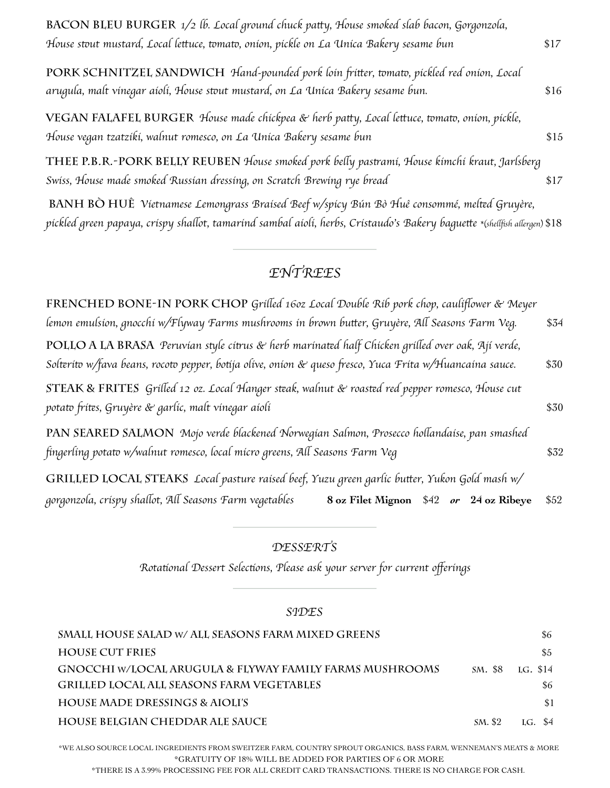| BACON BLEU BURGER 1/2 lb. Local ground chuck patty, House smoked slab bacon, Gorgonzola,                                                                                     |      |
|------------------------------------------------------------------------------------------------------------------------------------------------------------------------------|------|
| House stout mustard, Local lettuce, tomato, onion, pickle on La Unica Bakery sesame bun                                                                                      | \$17 |
| PORK SCHNITZEL SANDWICH Hand-pounded pork loin fritter, tomato, pickled red onion, Local<br>arugula, malt vinegar aioli, House stout mustard, on La Unica Bakery sesame bun. | \$16 |
| VEGAN FALAFEL BURGER House made chickpea & herb patty, Local lettuce, tomato, onion, pickle,<br>House vegan tzatziki, walnut romesco, on La Unica Bakery sesame bun          | \$15 |
| THEE P.B.R.-PORK BELLY REUBEN House smoked pork belly pastrami, House kimchi kraut, Jarlsberg<br>Swiss, House made smoked Russian dressing, on Scratch Brewing rye bread     | \$17 |
| BANH BÒ HUÊ Vietnamese Lemongrass Braised Beef w/spicy Bún Bò Huê consommé, melted Gruyère,                                                                                  |      |

pickled green papaya, crispy shallot, tamarind sambal aioli, herbs, Cristaudo's Bakery baguette \*(shellfish allergen) \$18

### *ENTREES*

| FRENCHED BONE-IN PORK CHOP Grilled 160z Local Double Rib pork chop, cauliflower & Meyer                                                                                                                       |      |
|---------------------------------------------------------------------------------------------------------------------------------------------------------------------------------------------------------------|------|
| lemon emulsion, gnocchi w/Flyway Farms mushrooms in brown butter, Gruyère, All Seasons Farm Veg.                                                                                                              | \$34 |
| POLLO A LA BRASA Peruvían style cítrus & herb marinated half Chicken grilled over oak, Ají verde,<br>Solterito w/fava beans, rocoto pepper, botija olive, onion & queso fresco, Yuca Frita w/Huancaina sauce. | \$30 |
| STEAK & FRITES Grilled 12 oz. Local Hanger steak, walnut & roasted red pepper romesco, House cut<br>potato frites, Gruyère & garlic, malt vinegar aioli                                                       | \$30 |
| PAN SEARED SALMON Mojo verde blackened Norwegian Salmon, Prosecco hollandaise, pan smashed<br>fingerling potato w/walnut romesco, local micro greens, All Seasons Farm Veg                                    | \$32 |
| GRILLED LOCAL STEAKS Local pasture raised beef, Yuzu green garlic butter, Yukon Gold mash w/                                                                                                                  |      |
| gorgonzola, crispy shallot, All Seasons Farm vegetables<br>8 oz Filet Mignon \$42 or 24 oz Ribeye                                                                                                             | \$52 |

#### *DESSERTS*

*Rota*t*onal Dessert Selec*t*ons, Please ask your server for current o*ff*erings*

#### *SIDES*

| SMALL HOUSE SALAD W/ ALL SEASONS FARM MIXED GREENS      |         | \$6        |
|---------------------------------------------------------|---------|------------|
| <b>HOUSE CUT FRIES</b>                                  |         | \$5        |
| GNOCCHI W/LOCAL ARUGULA & FLYWAY FAMILY FARMS MUSHROOMS | SM. \$8 | LG. \$14   |
| <b>GRILLED LOCAL ALL SEASONS FARM VEGETABLES</b>        |         | \$6        |
| <b>HOUSE MADE DRESSINGS &amp; AIOLI'S</b>               |         | \$1        |
| HOUSE BELGIAN CHEDDAR ALE SAUCE                         | SM. \$2 | \$4<br>LG. |

\*WE ALSO SOURCE LOCAL INGREDIENTS FROM SWEITZER FARM, COUNTRY SPROUT ORGANICS, BASS FARM, WENNEMAN'S MEATS & MORE \*GRATUITY OF 18% WILL BE ADDED FOR PARTIES OF 6 OR MORE

\*THERE IS A 3.99% PROCESSING FEE FOR ALL CREDIT CARD TRANSACTIONS. THERE IS NO CHARGE FOR CASH.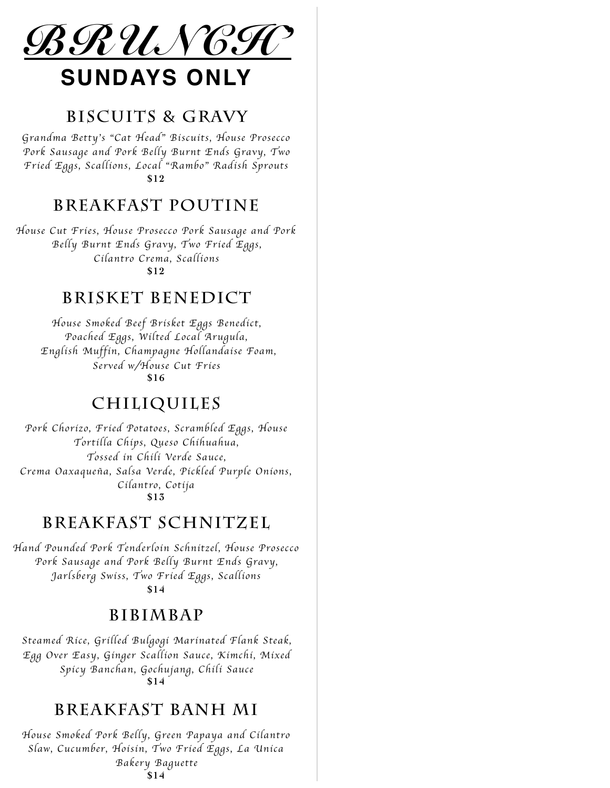

## **BISCUITS & GRAVY**

*Grandma Betty*'*s* "*Cat Head*" *Biscuits, House Prosecco Pork Sausage and Pork Belly Burnt Ends Gravy, Two Fried Eggs, Scallions, Local* "*Rambo*" *Radish Sprouts* **\$12**

## **BREAKFAST POUTINE**

*House Cut Fries, House Prosecco Pork Sausage and Pork Belly Burnt Ends Gravy, Two Fried Eggs, Cilantro Crema, Scallions* **\$12**

#### **BRISKET BENEDICT**

*House Smoked Beef Brisket Eggs Benedict, Poached Eggs, Wilted Local Arugula, English Muffin, Champagne Hollandaise Foam, Served w/House Cut Fries* **\$16** 

#### **CHILIQUILES**

*Pork Chorizo, Fried Potatoes, Scrambled Eggs, House Tortilla Chips, Queso Chihuahua, Tossed in Chili Verde Sauce, Crema Oaxaque*ñ*a, Salsa Verde, Pickled Purple Onions, Cilantro, Cotija* **\$13**

## **BREAKFAST SCHNITZEL**

*Hand Pounded Pork Tenderloin Schnitzel, House Prosecco Pork Sausage and Pork Belly Burnt Ends Gravy, Jarlsberg Swiss, Two Fried Eggs, Scallions*

**\$14**

#### **BIBIMBAP**

*Steamed Rice, Grilled Bulgogi Marinated Flank Steak, Egg Over Easy, Ginger Scallion Sauce, Kimchi, Mixed Spicy Banchan, Gochujang, Chili Sauce* **\$14**

#### **BREAKFAST BANH MI**

*House Smoked Pork Belly, Green Papaya and Cilantro Slaw, Cucumber, Hoisin, Two Fried Eggs, La Unica Bakery Baguette* **\$14**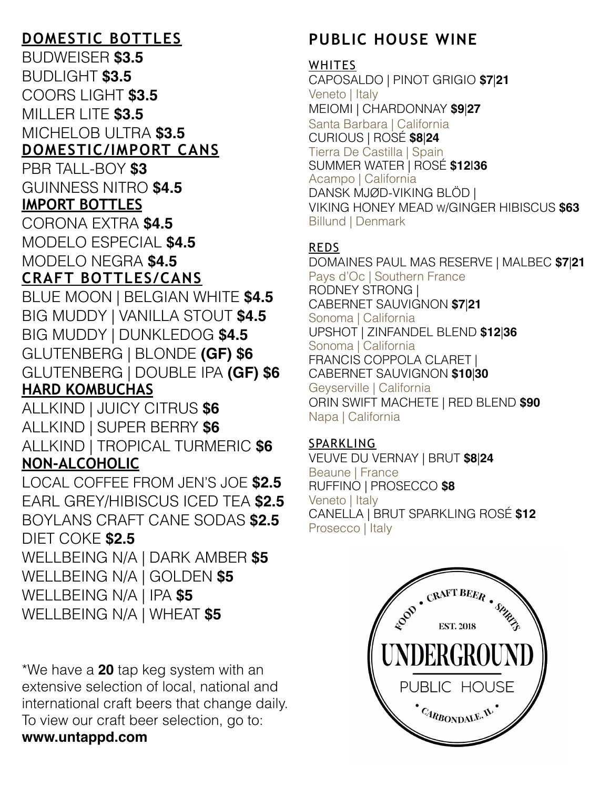## **DOMESTIC BOTTLES**

BUDWEISER **\$3.5** BUDLIGHT **\$3.5** COORS LIGHT **\$3.5** MILLER LITE **\$3.5** MICHELOB ULTRA **\$3.5 DOMESTIC/IMPORT CANS**  PBR TALL-BOY **\$3** GUINNESS NITRO **\$4.5 IMPORT BOTTLES**  CORONA EXTRA **\$4.5** MODELO ESPECIAL **\$4.5** MODELO NEGRA **\$4.5 CRAFT BOTTLES/CANS** 

BLUE MOON | BELGIAN WHITE **\$4.5** BIG MUDDY | VANILLA STOUT **\$4.5** BIG MUDDY | DUNKLEDOG **\$4.5** GLUTENBERG | BLONDE **(GF) \$6** GLUTENBERG | DOUBLE IPA **(GF) \$6 HARD KOMBUCHAS** 

ALLKIND | JUICY CITRUS **\$6** ALLKIND | SUPER BERRY **\$6** ALLKIND | TROPICAL TURMERIC **\$6 NON-ALCOHOLIC** 

LOCAL COFFEE FROM JEN'S JOE **\$2.5** EARL GREY/HIBISCUS ICED TEA **\$2.5** BOYLANS CRAFT CANE SODAS **\$2.5** DIET COKE **\$2.5** WELLBEING N/A | DARK AMBER **\$5**

WELLBEING N/A | GOLDEN **\$5** WELLBEING N/A | IPA **\$5** WELLBEING N/A | WHEAT **\$5**

\*We have a **20** tap keg system with an extensive selection of local, national and international craft beers that change daily. To view our craft beer selection, go to: **www.untappd.com**

# **PUBLIC HOUSE WINE**

#### **WHITES**

CAPOSALDO | PINOT GRIGIO **\$7**|**21** Veneto | Italy MEIOMI | CHARDONNAY **\$9**|**27** Santa Barbara | California CURIOUS | ROSÉ **\$8**|**24** Tierra De Castilla | Spain SUMMER WATER | ROSÉ **\$12**|**36** Acampo | California DANSK MJØD-VIKING BLÖD | VIKING HONEY MEAD W/GINGER HIBISCUS **\$63** Billund | Denmark

#### REDS

DOMAINES PAUL MAS RESERVE | MALBEC **\$7**|**21** Pays d'Oc | Southern France RODNEY STRONG | CABERNET SAUVIGNON **\$7**|**21** Sonoma | California UPSHOT | ZINFANDEL BLEND **\$12**|**36** Sonoma | California FRANCIS COPPOLA CLARET | CABERNET SAUVIGNON **\$10**|**30** Geyserville | California ORIN SWIFT MACHETE | RED BLEND **\$90** Napa | California

#### SPARKLING

VEUVE DU VERNAY | BRUT **\$8**|**24** Beaune | France RUFFINO | PROSECCO **\$8** Veneto | Italy CANELLA | BRUT SPARKLING ROSÉ **\$12** Prosecco | Italy

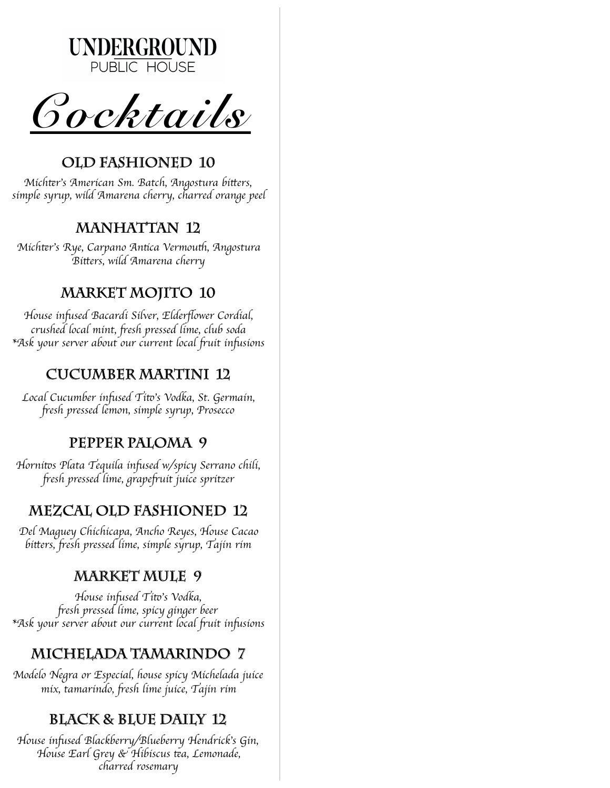

*Cocktails* 

# **OLD FASHIONED 10**

*Mich*t*r*'*s American Sm. Batch, Angostura bi*t*ers, simple syrup, wild Amarena cherry, charred orange peel*

# **MANHATTAN 12**

*Mich*t*r*'*s Rye, Carpano An*t*ca Vermou*t*, Angostura Bi*t*ers, wild Amarena cherry*

# **MARKET MOJITO 10**

*House in*f*sed Bacardi Silver, Elder*fl*ower Cordial, crushed local mint,* f*esh pressed lime, club soda \*Ask your server about our current local* f*uit in*f*sions*

# **CUCUMBER MARTINI 12**

*Local Cucumber in*f*sed Ti*t'*s Vodka, St. Germain,* f*esh pressed lemon, simple syrup, Prosecco*

# **PEPPER PALOMA 9**

*Horni*t*s Plata Tequila in*f*sed w/spicy Serrano chili,* f*esh pressed lime, grape*f*uit juice spritzer*

# **MEZCAL OLD FASHIONED 12**

*Del Maguey Chichicapa, Ancho Reyes, House Cacao bi*t*ers,* f*esh pressed lime, simple syrup, Tajin rim*

# **MARKET MULE 9**

*House in*f*sed Ti*t'*s Vodka,* f*esh pressed lime, spicy ginger beer \*Ask your server about our current local* f*uit in*f*sions*

# **MICHELADA TAMARINDO 7**

*Modelo Negra or Especial, house spicy Michelada juice mix, tamarindo,* f*esh lime juice, Tajin rim*

# **BLACK & BLUE DAILY 12**

*House in*f*sed Blackberry/Blueberry Hendrick*'*s Gin, House Earl Grey & Hibiscus* t*a, Lemonade, charred rosemary*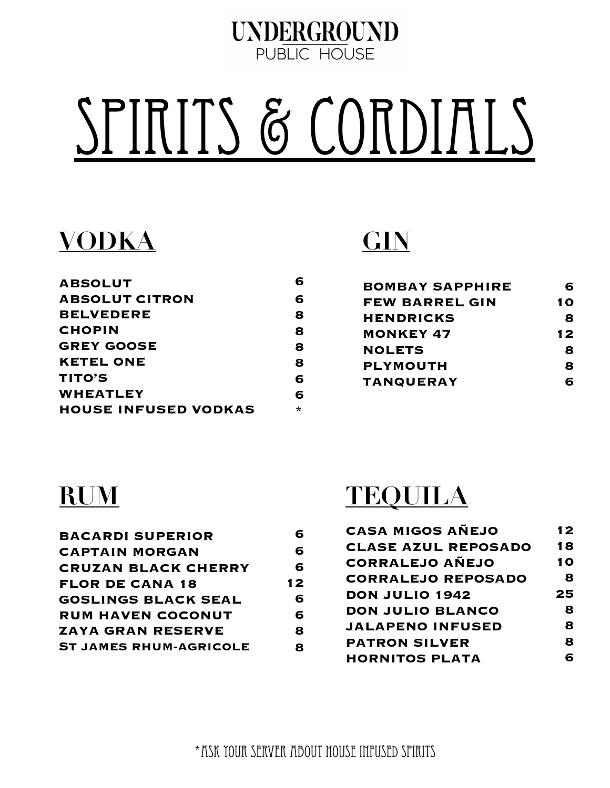

# SPIRITS & CORDIALS

# **VODKA**

| <b>ABSOLUT</b>              |   |
|-----------------------------|---|
| <b>ABSOLUT CITRON</b>       | 6 |
| <b>BELVEDERE</b>            | 8 |
| <b>CHOPIN</b>               | 8 |
| <b>GREY GOOSE</b>           | 8 |
| <b>KETEL ONE</b>            | 8 |
| <b>TITO'S</b>               | 6 |
| WHEATLEY                    | 6 |
| <b>HOUSE INFUSED VODKAS</b> | * |
|                             |   |

# **GIN**

| <b>BOMBAY SAPPHIRE</b> | 6  |
|------------------------|----|
| <b>FEW BARREL GIN</b>  | 10 |
| <b>HENDRICKS</b>       | 8  |
| <b>MONKEY 47</b>       | 12 |
| <b>NOLETS</b>          | 8  |
| <b>PLYMOUTH</b>        | 8  |
| <b>TANQUERAY</b>       |    |

# **RUM**

| <b>BACARDI SUPERIOR</b>       | 6  |
|-------------------------------|----|
| <b>CAPTAIN MORGAN</b>         | 6  |
| <b>CRUZAN BLACK CHERRY</b>    | 6  |
| <b>FLOR DE CANA 18</b>        | 12 |
| <b>GOSLINGS BLACK SEAL</b>    | 6  |
| <b>RUM HAVEN COCONUT</b>      | 6  |
| <b>ZAYA GRAN RESERVE</b>      | 8  |
| <b>ST JAMES RHUM-AGRICOLE</b> | я  |
|                               |    |

# **TEQUILA**

| <b>CASA MIGOS AÑEJO</b>    | 12 |
|----------------------------|----|
| <b>CLASE AZUL REPOSADO</b> | 18 |
| <b>CORRALEJO AÑEJO</b>     | 10 |
| <b>CORRALEJO REPOSADO</b>  | 8  |
| DON JULIO 1942             | 25 |
| DON JULIO BLANCO           | 8  |
| <b>JALAPENO INFUSED</b>    | 8  |
| <b>PATRON SILVER</b>       | 8  |
| <b>HORNITOS PLATA</b>      | F  |